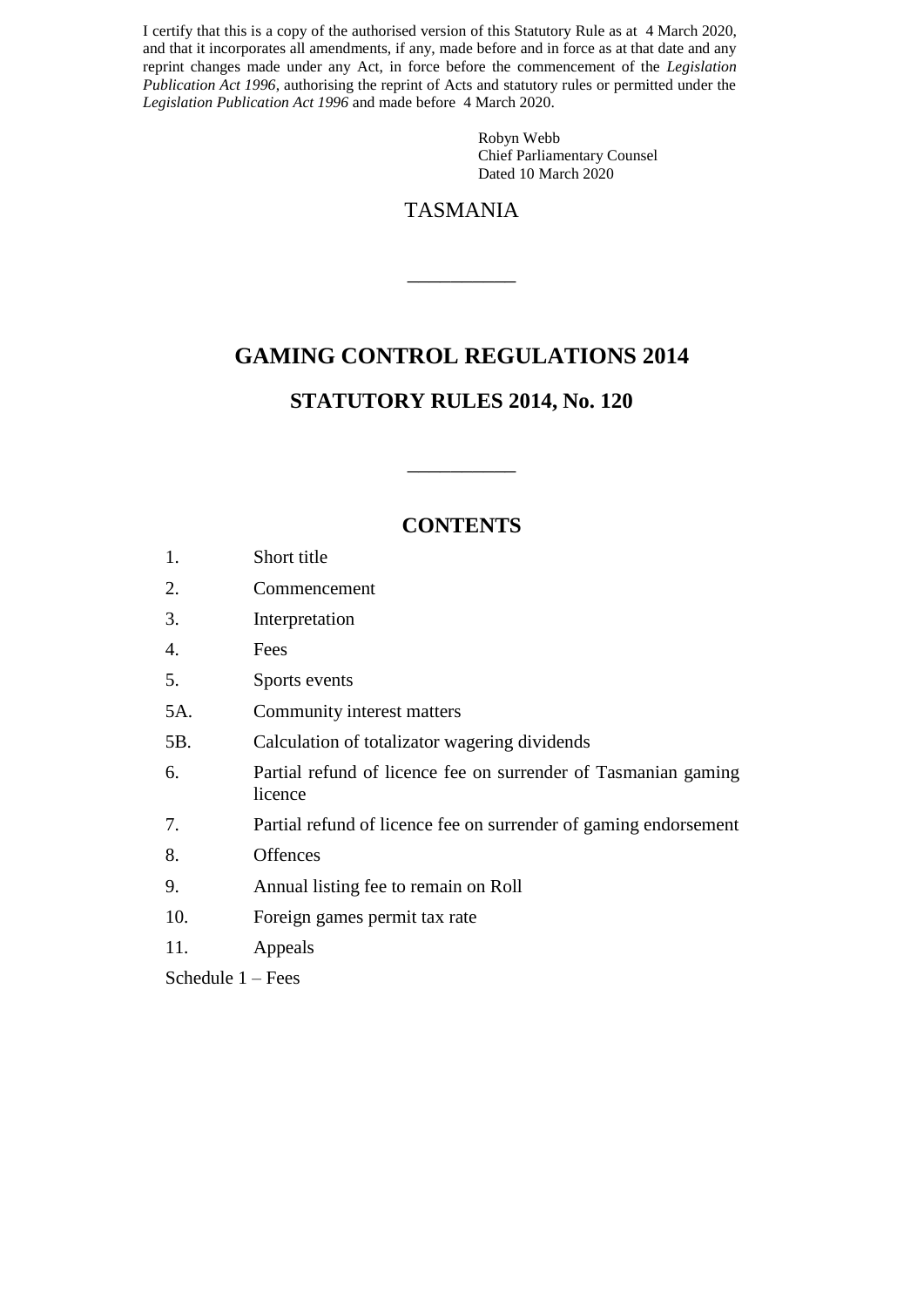I certify that this is a copy of the authorised version of this Statutory Rule as at 4 March 2020, and that it incorporates all amendments, if any, made before and in force as at that date and any reprint changes made under any Act, in force before the commencement of the *Legislation Publication Act 1996*, authorising the reprint of Acts and statutory rules or permitted under the *Legislation Publication Act 1996* and made before 4 March 2020.

> Robyn Webb Chief Parliamentary Counsel Dated 10 March 2020

## TASMANIA

 $\overline{\phantom{a}}$   $\overline{\phantom{a}}$   $\overline{\phantom{a}}$   $\overline{\phantom{a}}$   $\overline{\phantom{a}}$   $\overline{\phantom{a}}$   $\overline{\phantom{a}}$   $\overline{\phantom{a}}$   $\overline{\phantom{a}}$   $\overline{\phantom{a}}$   $\overline{\phantom{a}}$   $\overline{\phantom{a}}$   $\overline{\phantom{a}}$   $\overline{\phantom{a}}$   $\overline{\phantom{a}}$   $\overline{\phantom{a}}$   $\overline{\phantom{a}}$   $\overline{\phantom{a}}$   $\overline{\$ 

## **GAMING CONTROL REGULATIONS 2014**

### **STATUTORY RULES 2014, No. 120**

### **CONTENTS**

 $\overline{\phantom{a}}$  , we can also the contract of  $\overline{\phantom{a}}$ 

| Short title |
|-------------|
|             |

- 2. Commencement
- 3. Interpretation
- 4. Fees
- 5. Sports events
- 5A. Community interest matters
- 5B. Calculation of totalizator wagering dividends
- 6. Partial refund of licence fee on surrender of Tasmanian gaming licence
- 7. Partial refund of licence fee on surrender of gaming endorsement
- 8. Offences
- 9. Annual listing fee to remain on Roll
- 10. Foreign games permit tax rate
- 11. Appeals

Schedule 1 – Fees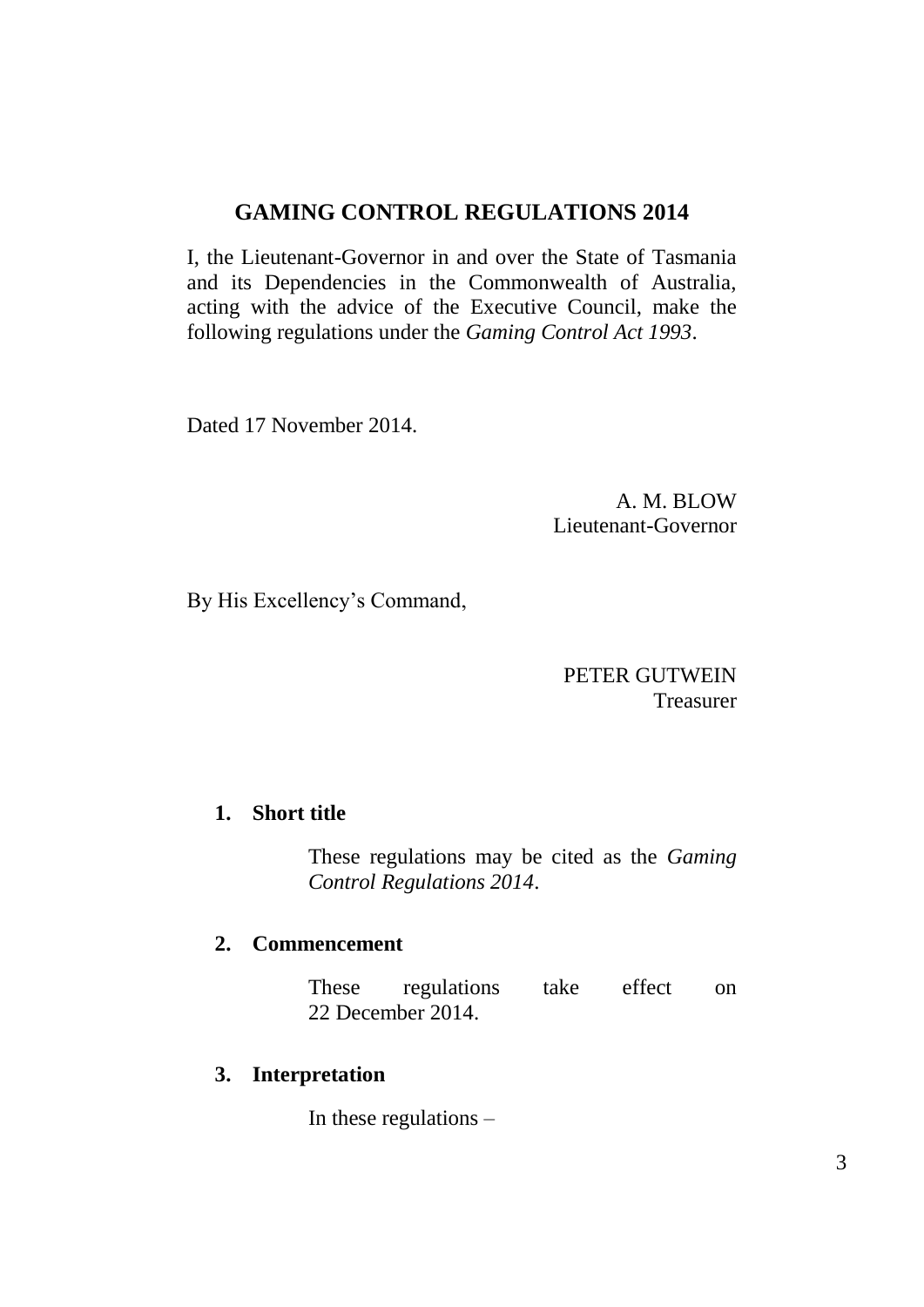# **GAMING CONTROL REGULATIONS 2014**

I, the Lieutenant-Governor in and over the State of Tasmania and its Dependencies in the Commonwealth of Australia, acting with the advice of the Executive Council, make the following regulations under the *Gaming Control Act 1993*.

Dated 17 November 2014.

A. M. BLOW Lieutenant-Governor

By His Excellency's Command,

## PETER GUTWEIN Treasurer

### **1. Short title**

These regulations may be cited as the *Gaming Control Regulations 2014*.

### **2. Commencement**

These regulations take effect on 22 December 2014.

### **3. Interpretation**

In these regulations –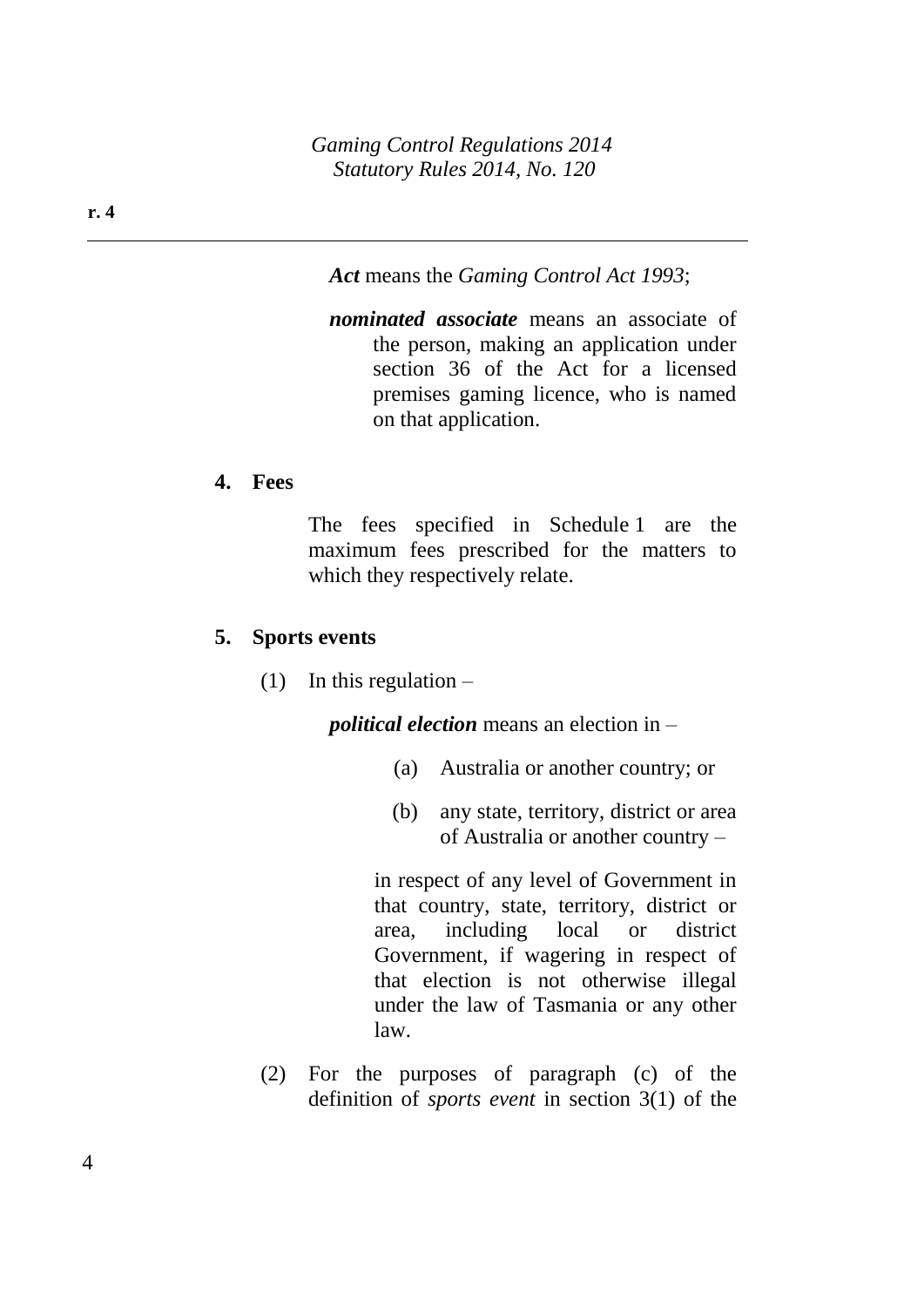*Act* means the *Gaming Control Act 1993*;

*nominated associate* means an associate of the person, making an application under section 36 of the Act for a licensed premises gaming licence, who is named on that application.

#### **4. Fees**

The fees specified in Schedule 1 are the maximum fees prescribed for the matters to which they respectively relate.

#### **5. Sports events**

(1) In this regulation  $-$ 

*political election* means an election in –

- (a) Australia or another country; or
- (b) any state, territory, district or area of Australia or another country –

in respect of any level of Government in that country, state, territory, district or area, including local or district Government, if wagering in respect of that election is not otherwise illegal under the law of Tasmania or any other law.

(2) For the purposes of paragraph (c) of the definition of *sports event* in section 3(1) of the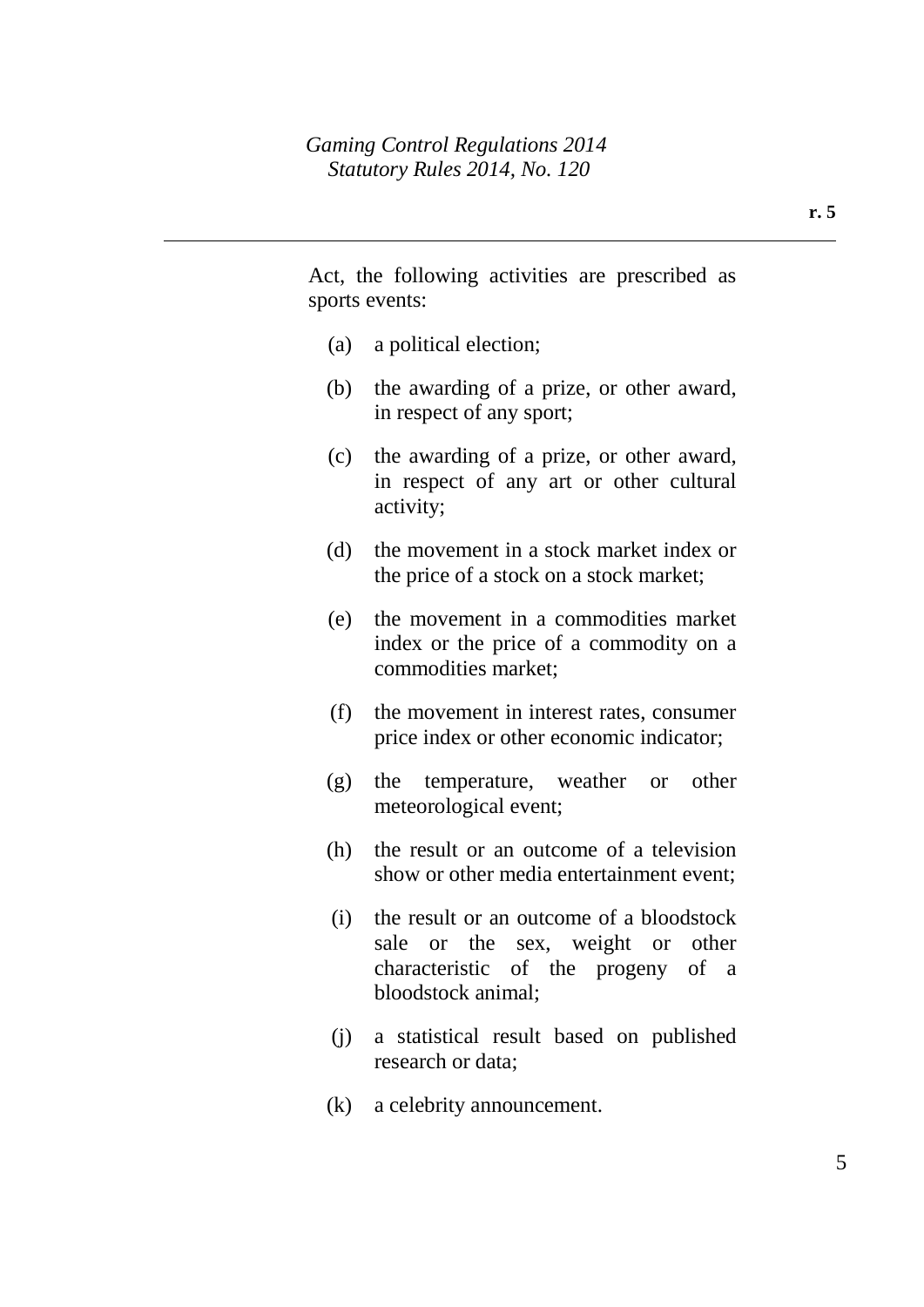Act, the following activities are prescribed as sports events:

- (a) a political election;
- (b) the awarding of a prize, or other award, in respect of any sport;
- (c) the awarding of a prize, or other award, in respect of any art or other cultural activity;
- (d) the movement in a stock market index or the price of a stock on a stock market;
- (e) the movement in a commodities market index or the price of a commodity on a commodities market;
- (f) the movement in interest rates, consumer price index or other economic indicator;
- (g) the temperature, weather or other meteorological event;
- (h) the result or an outcome of a television show or other media entertainment event;
- (i) the result or an outcome of a bloodstock sale or the sex, weight or other characteristic of the progeny of a bloodstock animal;
- (j) a statistical result based on published research or data;
- (k) a celebrity announcement.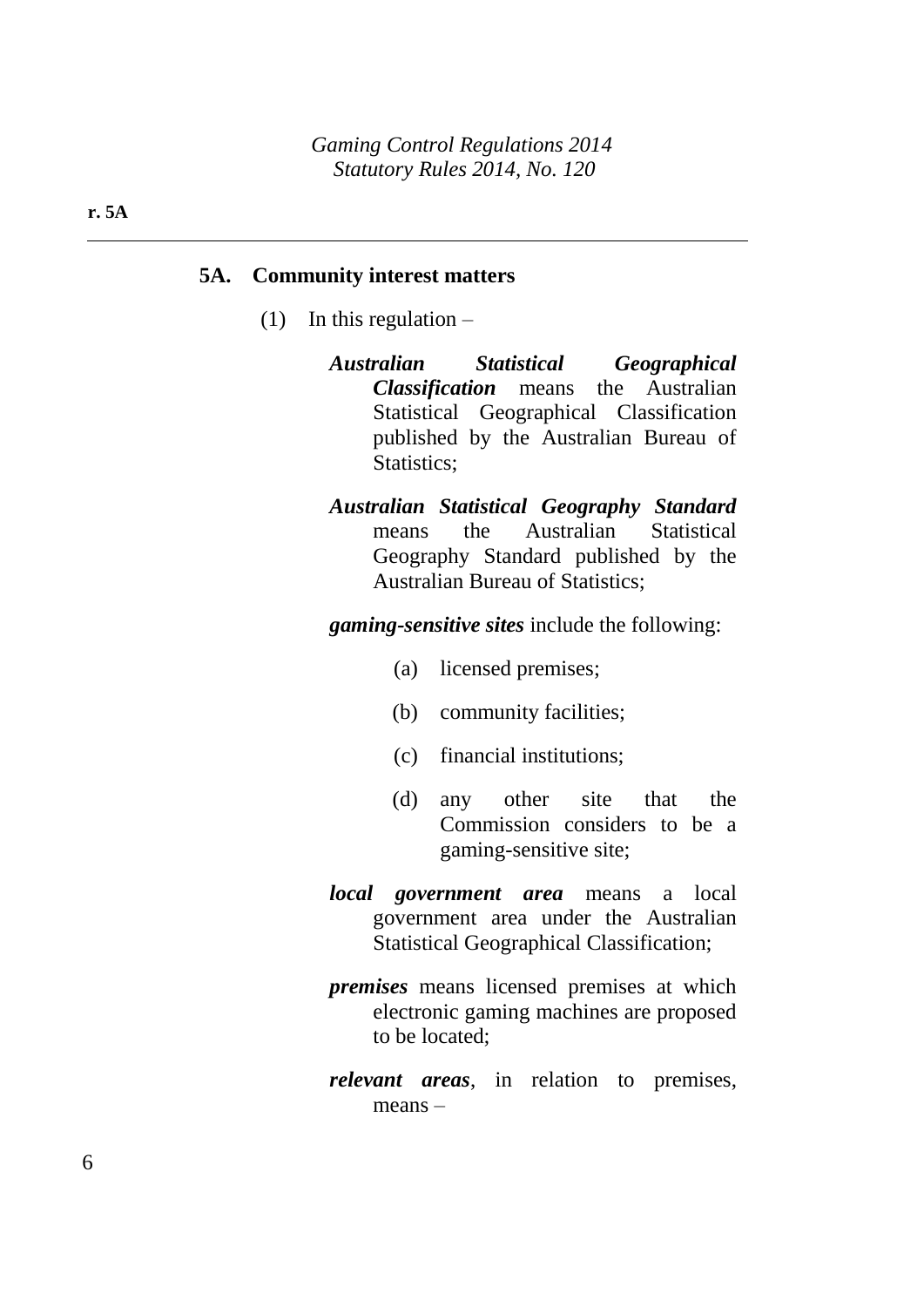#### **5A. Community interest matters**

- (1) In this regulation  $-$ 
	- *Australian Statistical Geographical Classification* means the Australian Statistical Geographical Classification published by the Australian Bureau of Statistics:
	- *Australian Statistical Geography Standard* means the Australian Statistical Geography Standard published by the Australian Bureau of Statistics;

*gaming-sensitive sites* include the following:

- (a) licensed premises;
- (b) community facilities;
- (c) financial institutions;
- (d) any other site that the Commission considers to be a gaming-sensitive site;
- *local government area* means a local government area under the Australian Statistical Geographical Classification;
- *premises* means licensed premises at which electronic gaming machines are proposed to be located;
- *relevant areas*, in relation to premises, means –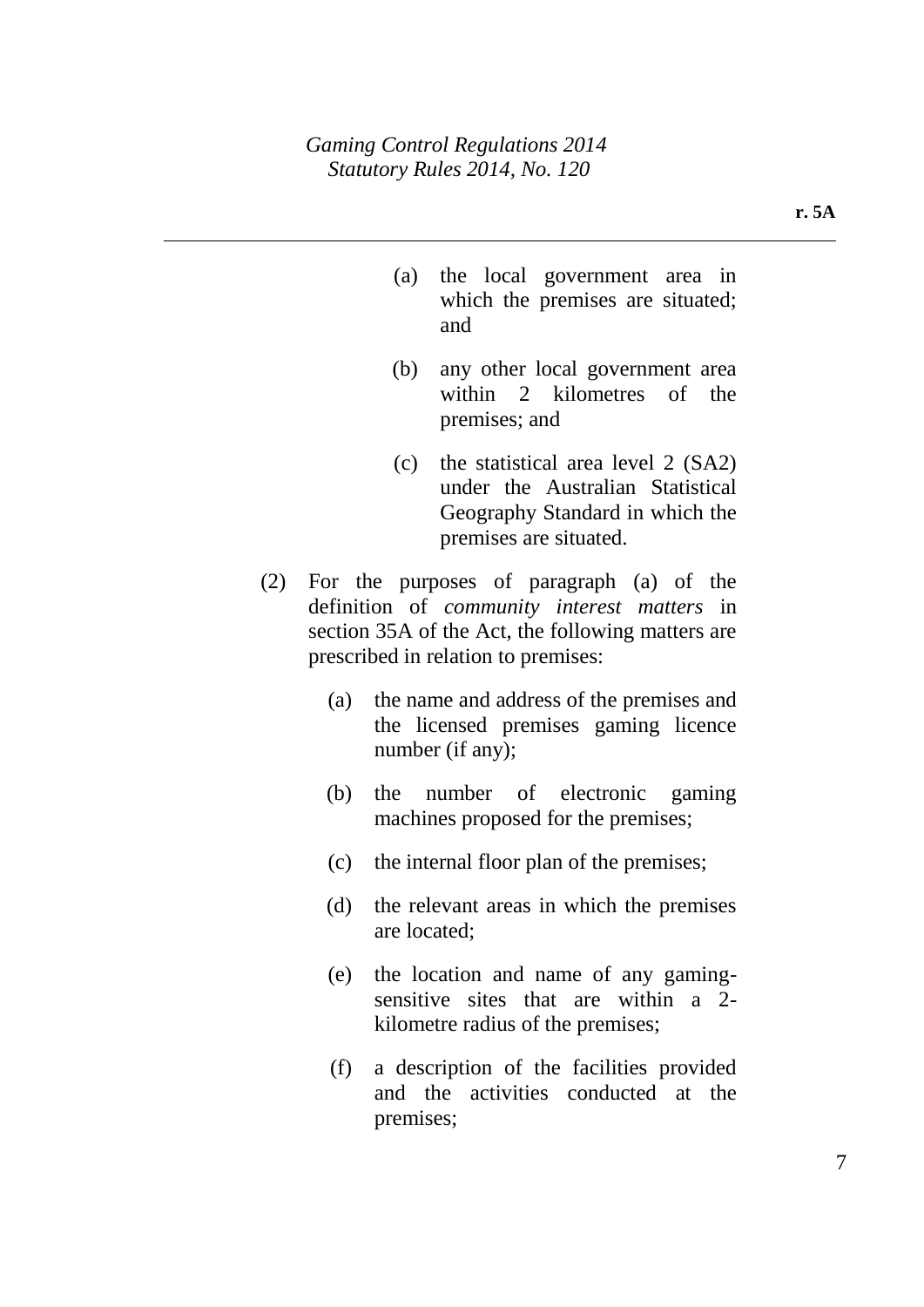- (a) the local government area in which the premises are situated; and
- (b) any other local government area within 2 kilometres of the premises; and
- (c) the statistical area level 2 (SA2) under the Australian Statistical Geography Standard in which the premises are situated.
- (2) For the purposes of paragraph (a) of the definition of *community interest matters* in section 35A of the Act, the following matters are prescribed in relation to premises:
	- (a) the name and address of the premises and the licensed premises gaming licence number (if any);
	- (b) the number of electronic gaming machines proposed for the premises;
	- (c) the internal floor plan of the premises;
	- (d) the relevant areas in which the premises are located;
	- (e) the location and name of any gamingsensitive sites that are within a 2 kilometre radius of the premises;
	- (f) a description of the facilities provided and the activities conducted at the premises;

**r. 5A**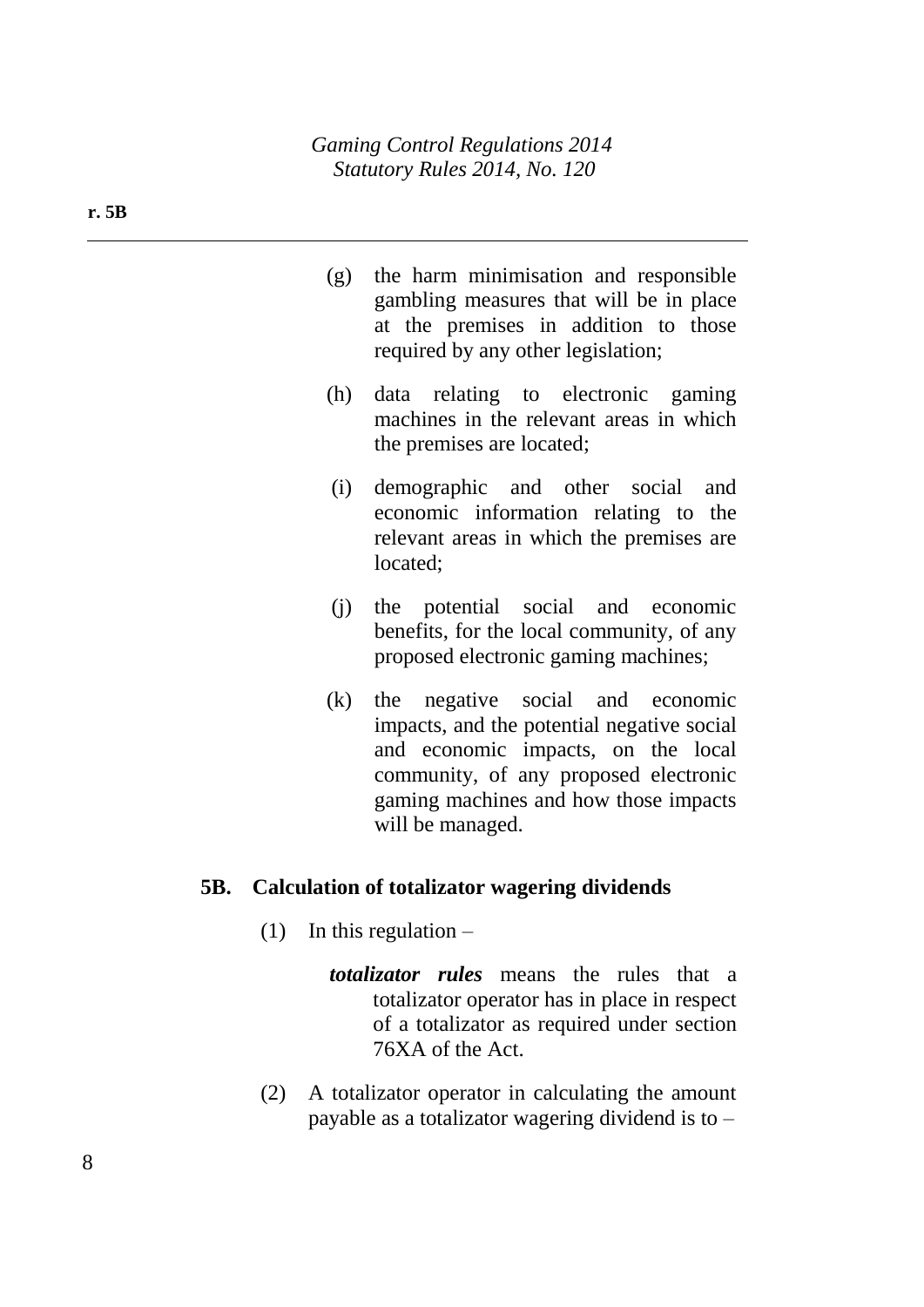- (g) the harm minimisation and responsible gambling measures that will be in place at the premises in addition to those required by any other legislation;
- (h) data relating to electronic gaming machines in the relevant areas in which the premises are located;
- (i) demographic and other social and economic information relating to the relevant areas in which the premises are located;
- (j) the potential social and economic benefits, for the local community, of any proposed electronic gaming machines;
- (k) the negative social and economic impacts, and the potential negative social and economic impacts, on the local community, of any proposed electronic gaming machines and how those impacts will be managed.

### **5B. Calculation of totalizator wagering dividends**

- (1) In this regulation  $$ 
	- *totalizator rules* means the rules that a totalizator operator has in place in respect of a totalizator as required under section 76XA of the Act.
- (2) A totalizator operator in calculating the amount payable as a totalizator wagering dividend is to –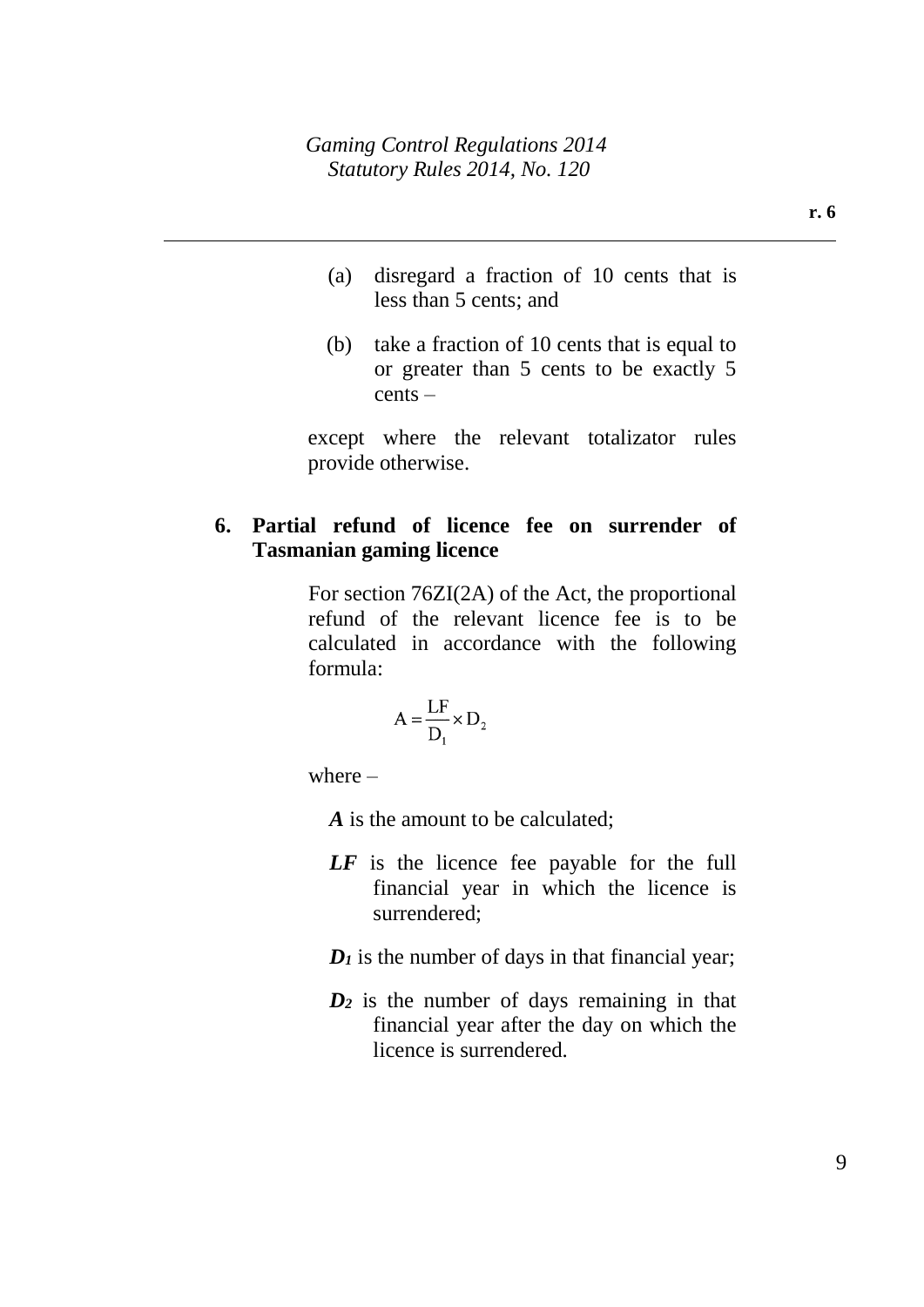- (a) disregard a fraction of 10 cents that is less than 5 cents; and
- (b) take a fraction of 10 cents that is equal to or greater than 5 cents to be exactly 5 cents –

except where the relevant totalizator rules provide otherwise.

## **6. Partial refund of licence fee on surrender of Tasmanian gaming licence**

For section 76ZI(2A) of the Act, the proportional refund of the relevant licence fee is to be calculated in accordance with the following formula:

$$
A = \frac{LF}{D_1} \times D_2
$$

where  $-$ 

*A* is the amount to be calculated;

- *LF* is the licence fee payable for the full financial year in which the licence is surrendered;
- $D_I$  is the number of days in that financial year;
- *D<sup>2</sup>* is the number of days remaining in that financial year after the day on which the licence is surrendered.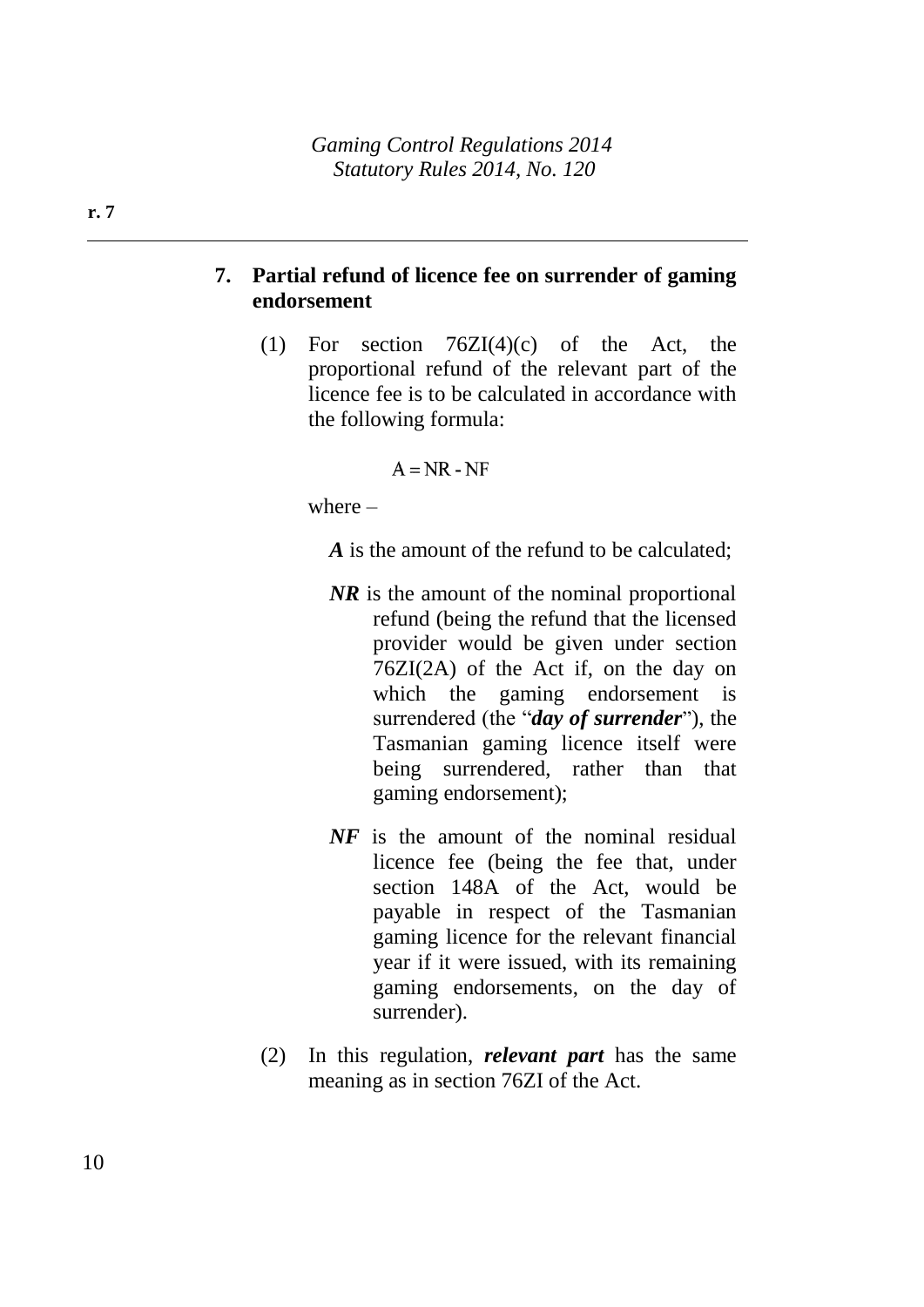# **7. Partial refund of licence fee on surrender of gaming endorsement**

(1) For section  $76ZI(4)(c)$  of the Act, the proportional refund of the relevant part of the licence fee is to be calculated in accordance with the following formula:

#### $A = NR - NF$

where –

*A* is the amount of the refund to be calculated;

- *NR* is the amount of the nominal proportional refund (being the refund that the licensed provider would be given under section 76ZI(2A) of the Act if, on the day on which the gaming endorsement is surrendered (the "*day of surrender*"), the Tasmanian gaming licence itself were being surrendered, rather than that gaming endorsement);
- *NF* is the amount of the nominal residual licence fee (being the fee that, under section 148A of the Act, would be payable in respect of the Tasmanian gaming licence for the relevant financial year if it were issued, with its remaining gaming endorsements, on the day of surrender).
- (2) In this regulation, *relevant part* has the same meaning as in section 76ZI of the Act.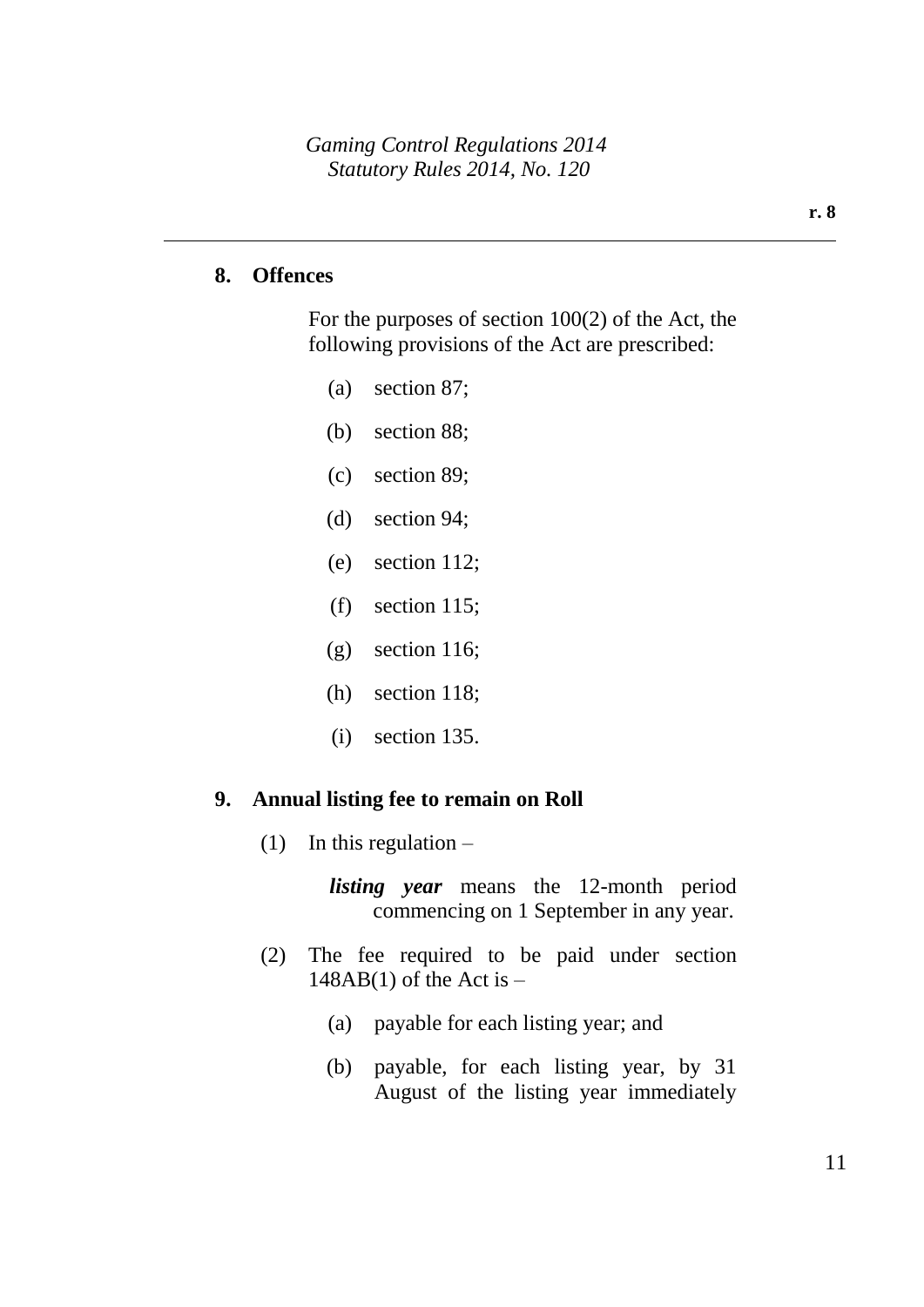#### **8. Offences**

For the purposes of section 100(2) of the Act, the following provisions of the Act are prescribed:

- (a) section 87;
- (b) section 88;
- (c) section 89;
- (d) section 94;
- (e) section 112;
- (f) section 115;
- (g) section 116;
- (h) section 118;
- (i) section 135.

#### **9. Annual listing fee to remain on Roll**

(1) In this regulation  $-$ 

*listing year* means the 12-month period commencing on 1 September in any year.

- (2) The fee required to be paid under section  $148AB(1)$  of the Act is  $-$ 
	- (a) payable for each listing year; and
	- (b) payable, for each listing year, by 31 August of the listing year immediately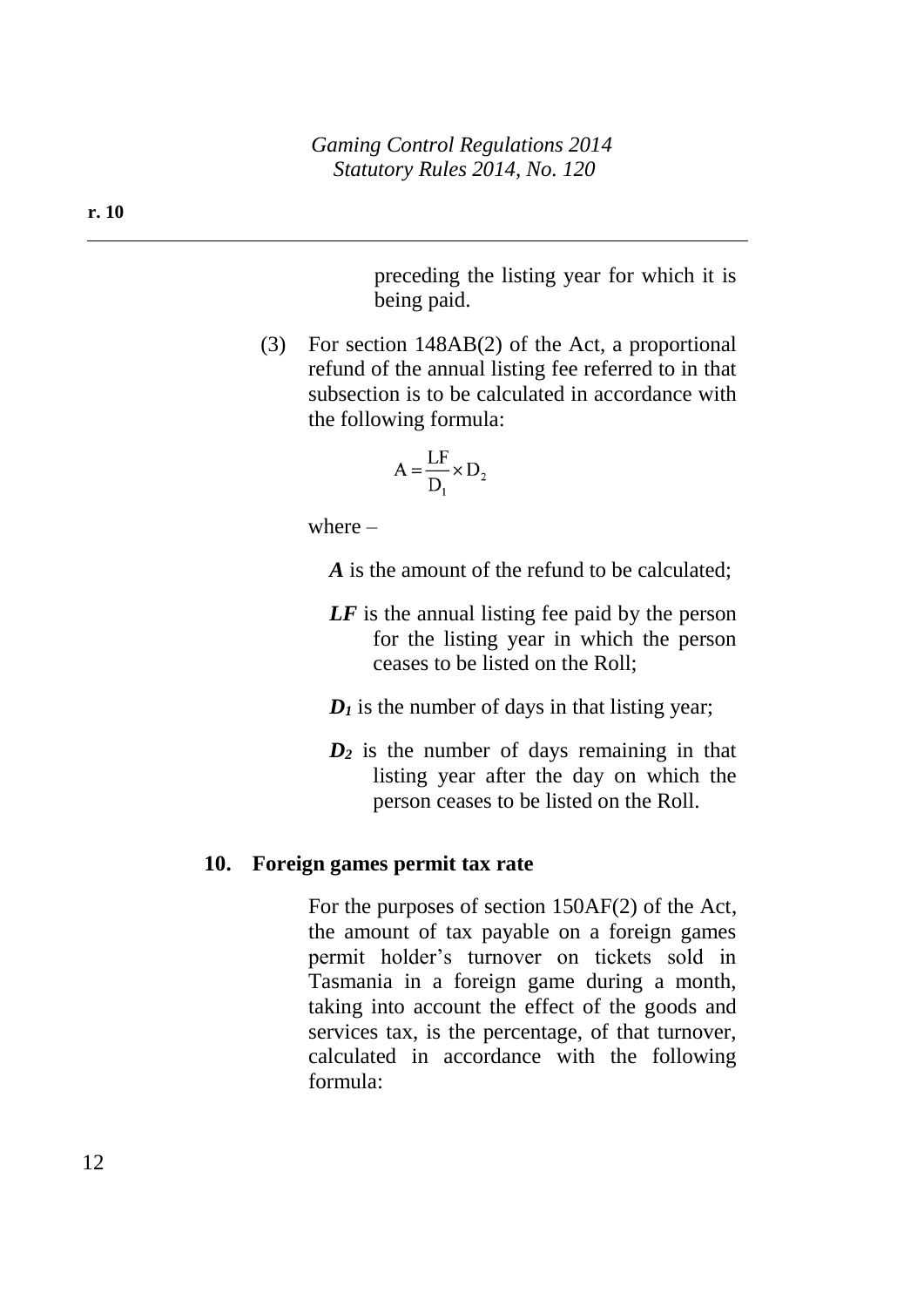preceding the listing year for which it is being paid.

(3) For section 148AB(2) of the Act, a proportional refund of the annual listing fee referred to in that subsection is to be calculated in accordance with the following formula:

$$
A = \frac{LF}{D_1} \times D_2
$$

where  $-$ 

- *A* is the amount of the refund to be calculated:
- *LF* is the annual listing fee paid by the person for the listing year in which the person ceases to be listed on the Roll;
- $D_1$  is the number of days in that listing year;
- *D<sup>2</sup>* is the number of days remaining in that listing year after the day on which the person ceases to be listed on the Roll.

#### **10. Foreign games permit tax rate**

For the purposes of section 150AF(2) of the Act, the amount of tax payable on a foreign games permit holder's turnover on tickets sold in Tasmania in a foreign game during a month, taking into account the effect of the goods and services tax, is the percentage, of that turnover, calculated in accordance with the following formula: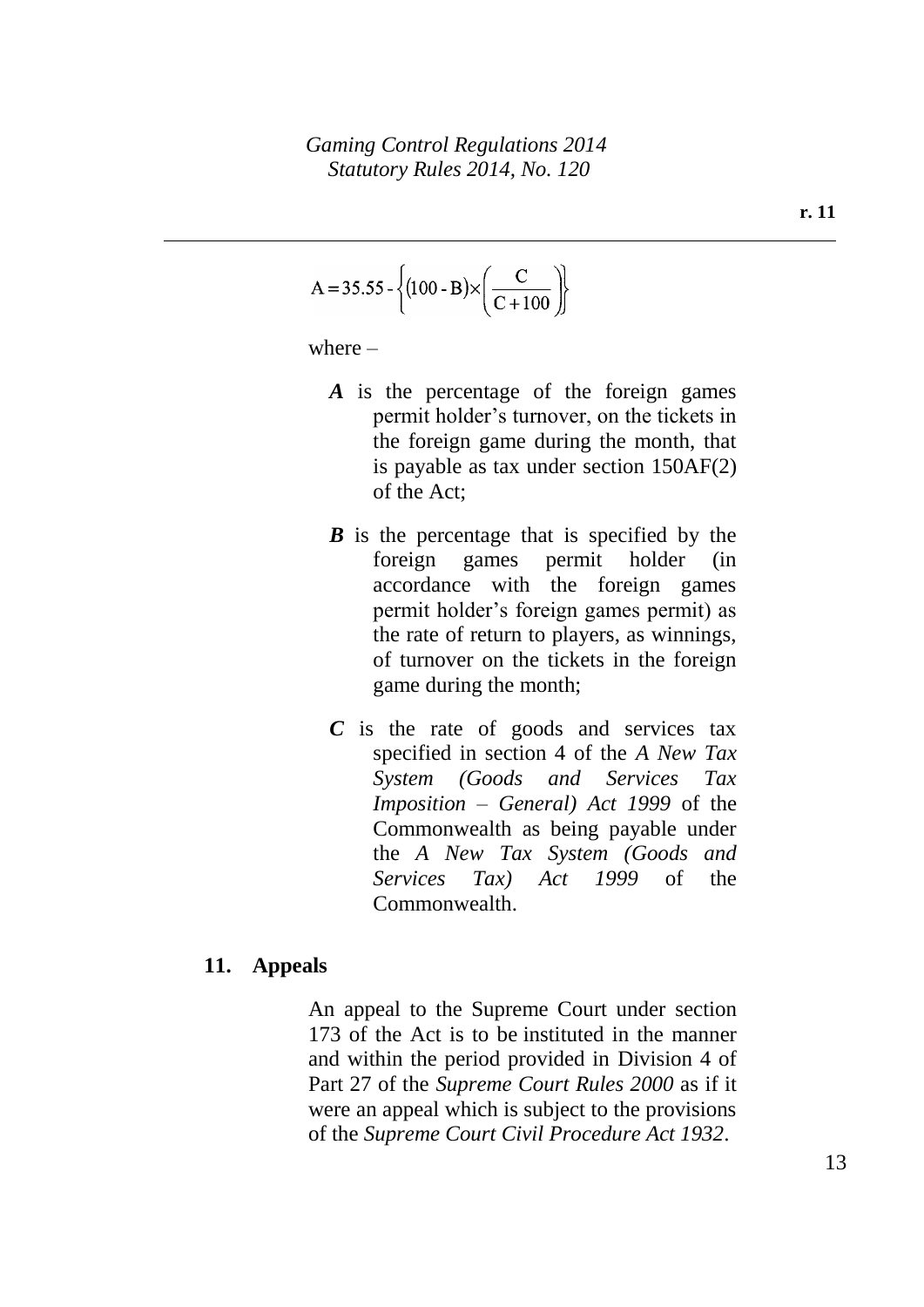$$
A = 35.55 - \left\{ (100 - B) \times \left( \frac{C}{C + 100} \right) \right\}
$$

where  $-$ 

- *A* is the percentage of the foreign games permit holder's turnover, on the tickets in the foreign game during the month, that is payable as tax under section 150AF(2) of the Act;
- *B* is the percentage that is specified by the foreign games permit holder (in accordance with the foreign games permit holder's foreign games permit) as the rate of return to players, as winnings, of turnover on the tickets in the foreign game during the month;
- *C* is the rate of goods and services tax specified in section 4 of the *A New Tax System (Goods and Services Tax Imposition – General) Act 1999* of the Commonwealth as being payable under the *A New Tax System (Goods and Services Tax) Act 1999* of the Commonwealth.

#### **11. Appeals**

An appeal to the Supreme Court under section 173 of the Act is to be instituted in the manner and within the period provided in Division 4 of Part 27 of the *Supreme Court Rules 2000* as if it were an appeal which is subject to the provisions of the *Supreme Court Civil Procedure Act 1932*.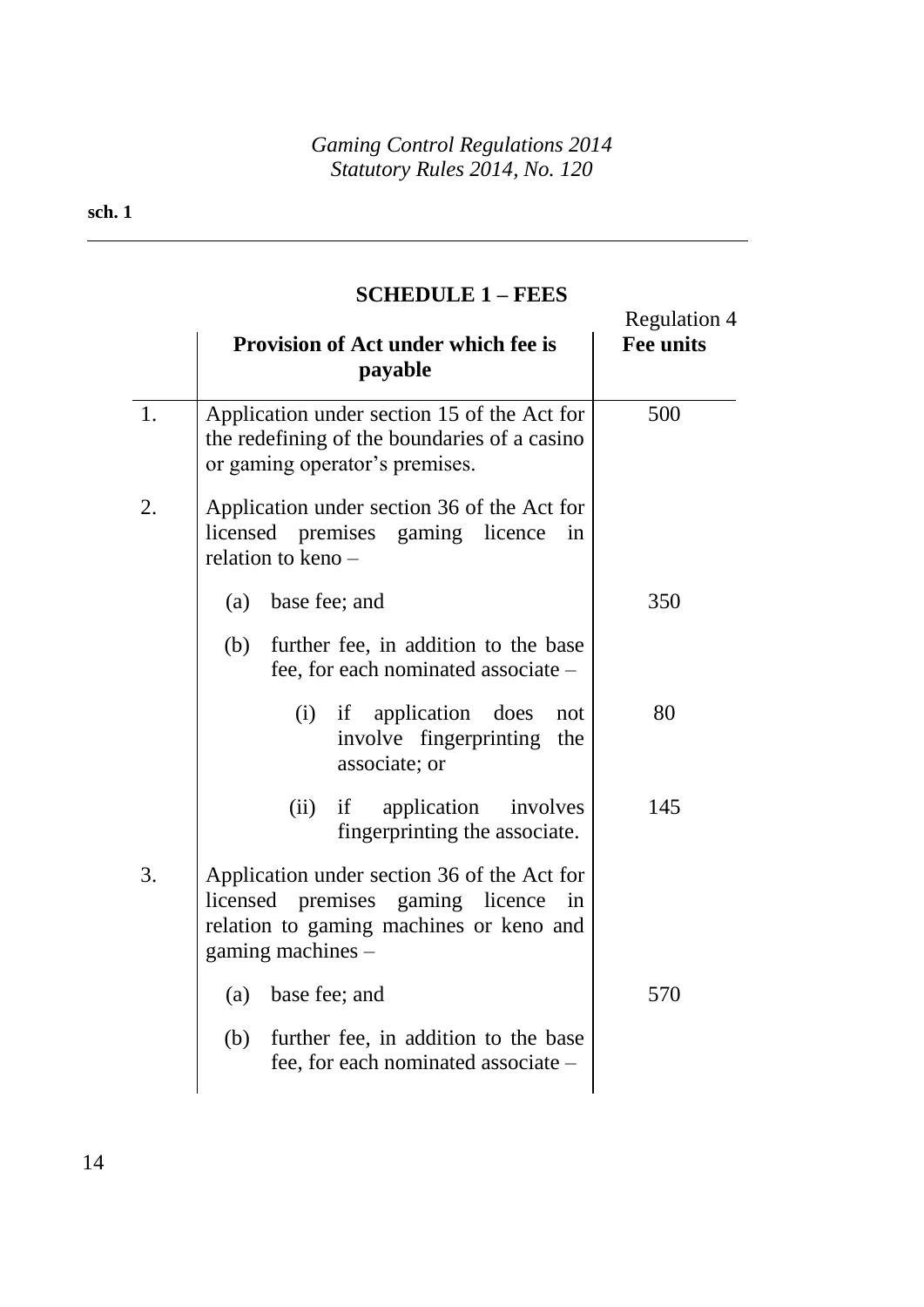# **SCHEDULE 1 – FEES**

|    | Provision of Act under which fee is<br>payable                                                                                                        | <b>Regulation 4</b><br><b>Fee units</b> |
|----|-------------------------------------------------------------------------------------------------------------------------------------------------------|-----------------------------------------|
| 1. | Application under section 15 of the Act for<br>the redefining of the boundaries of a casino<br>or gaming operator's premises.                         | 500                                     |
| 2. | Application under section 36 of the Act for<br>licensed premises gaming licence<br>in<br>relation to keno -                                           |                                         |
|    | (a)<br>base fee; and                                                                                                                                  | 350                                     |
|    | (b)<br>further fee, in addition to the base<br>fee, for each nominated associate -                                                                    |                                         |
|    | application does<br>(i)<br>if<br>not<br>involve fingerprinting<br>the<br>associate; or                                                                | 80                                      |
|    | application<br>(ii)<br>involves<br>if<br>fingerprinting the associate.                                                                                | 145                                     |
| 3. | Application under section 36 of the Act for<br>licensed premises gaming licence<br>in<br>relation to gaming machines or keno and<br>gaming machines - |                                         |
|    | base fee; and<br>(a)                                                                                                                                  | 570                                     |
|    | further fee, in addition to the base<br>(b)<br>fee, for each nominated associate -                                                                    |                                         |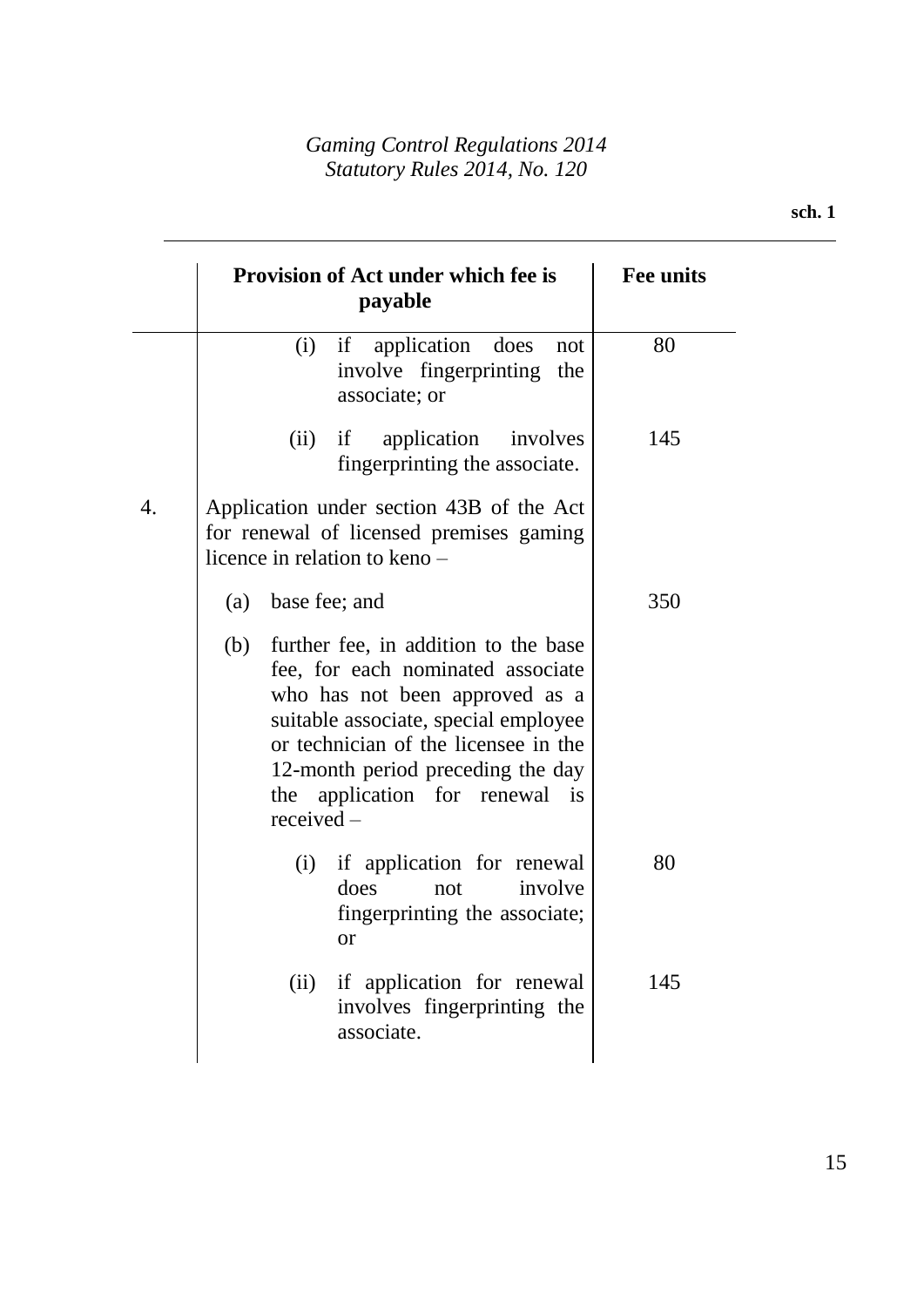|    |     | <b>Provision of Act under which fee is</b><br>payable                                                                                                                                                                                                                               | <b>Fee units</b> |
|----|-----|-------------------------------------------------------------------------------------------------------------------------------------------------------------------------------------------------------------------------------------------------------------------------------------|------------------|
|    |     | if<br>application<br>does<br>(i)<br>not<br>involve fingerprinting<br>the<br>associate; or                                                                                                                                                                                           | 80               |
|    |     | (ii)<br>if<br>application<br>involves<br>fingerprinting the associate.                                                                                                                                                                                                              | 145              |
| 4. |     | Application under section 43B of the Act<br>for renewal of licensed premises gaming<br>licence in relation to keno –                                                                                                                                                                |                  |
|    | (a) | base fee; and                                                                                                                                                                                                                                                                       | 350              |
|    | (b) | further fee, in addition to the base<br>fee, for each nominated associate<br>who has not been approved as a<br>suitable associate, special employee<br>or technician of the licensee in the<br>12-month period preceding the day<br>the application for renewal<br>is<br>received – |                  |
|    |     | if application for renewal<br>(i)<br>involve<br>does<br>not<br>fingerprinting the associate;<br><b>or</b>                                                                                                                                                                           | 80               |
|    |     | if application for renewal<br>(ii)<br>involves fingerprinting the                                                                                                                                                                                                                   | 145              |

associate.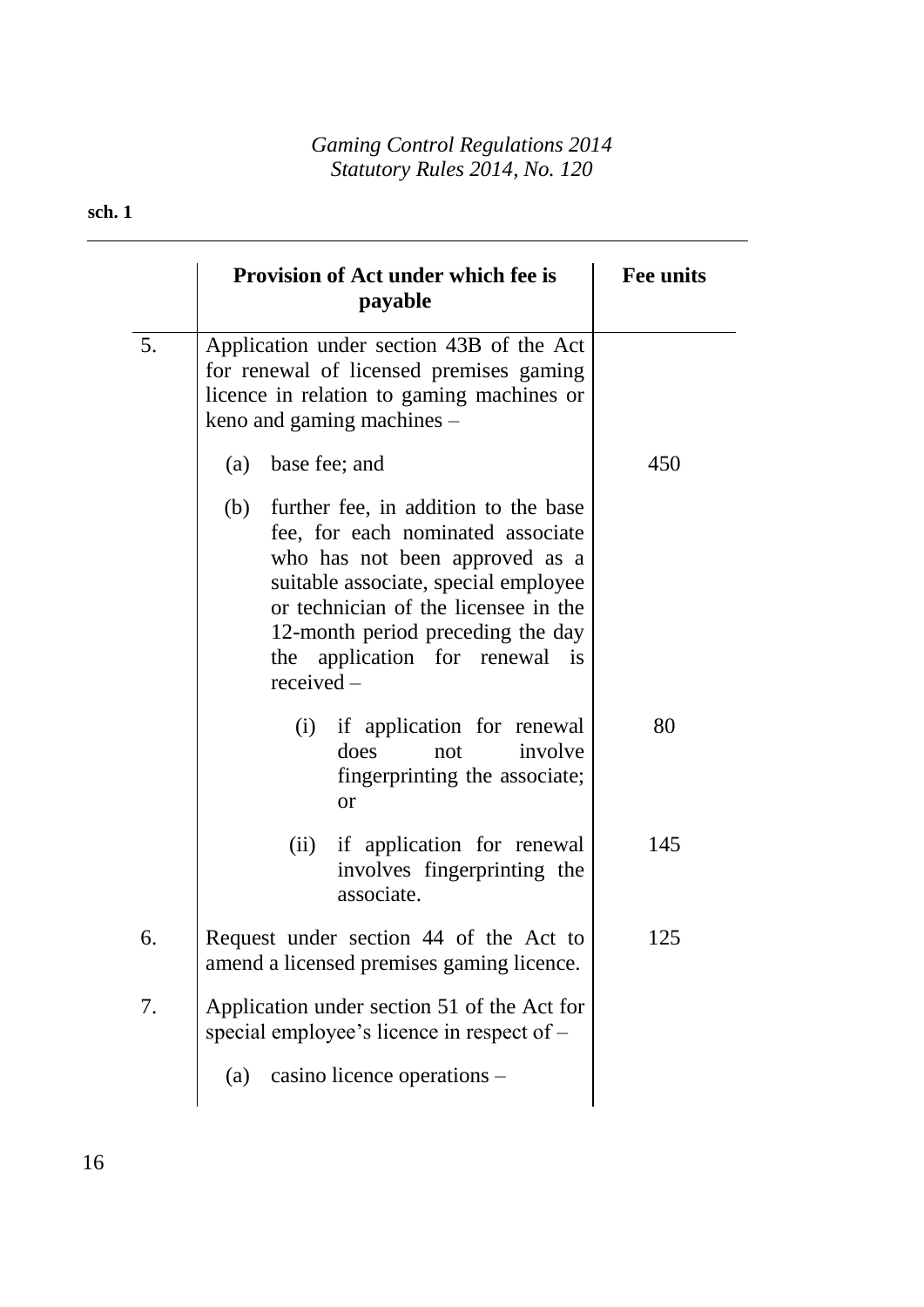|    | <b>Provision of Act under which fee is</b><br>payable                                                                                                                                                                                                                                     | <b>Fee units</b> |
|----|-------------------------------------------------------------------------------------------------------------------------------------------------------------------------------------------------------------------------------------------------------------------------------------------|------------------|
| 5. | Application under section 43B of the Act<br>for renewal of licensed premises gaming<br>licence in relation to gaming machines or<br>keno and gaming machines $-$                                                                                                                          |                  |
|    | (a) base fee; and                                                                                                                                                                                                                                                                         | 450              |
|    | (b)<br>further fee, in addition to the base<br>fee, for each nominated associate<br>who has not been approved as a<br>suitable associate, special employee<br>or technician of the licensee in the<br>12-month period preceding the day<br>the application for renewal is<br>$received -$ |                  |
|    | (i) if application for renewal<br>does<br>involve<br>not<br>fingerprinting the associate;<br><b>or</b>                                                                                                                                                                                    | 80               |
|    | (ii) if application for renewal<br>involves fingerprinting the<br>associate.                                                                                                                                                                                                              | 145              |
| 6. | Request under section 44 of the Act to<br>amend a licensed premises gaming licence.                                                                                                                                                                                                       | 125              |
| 7. | Application under section 51 of the Act for<br>special employee's licence in respect of $-$                                                                                                                                                                                               |                  |
|    | casino licence operations -<br>(a)                                                                                                                                                                                                                                                        |                  |

## **sch. 1**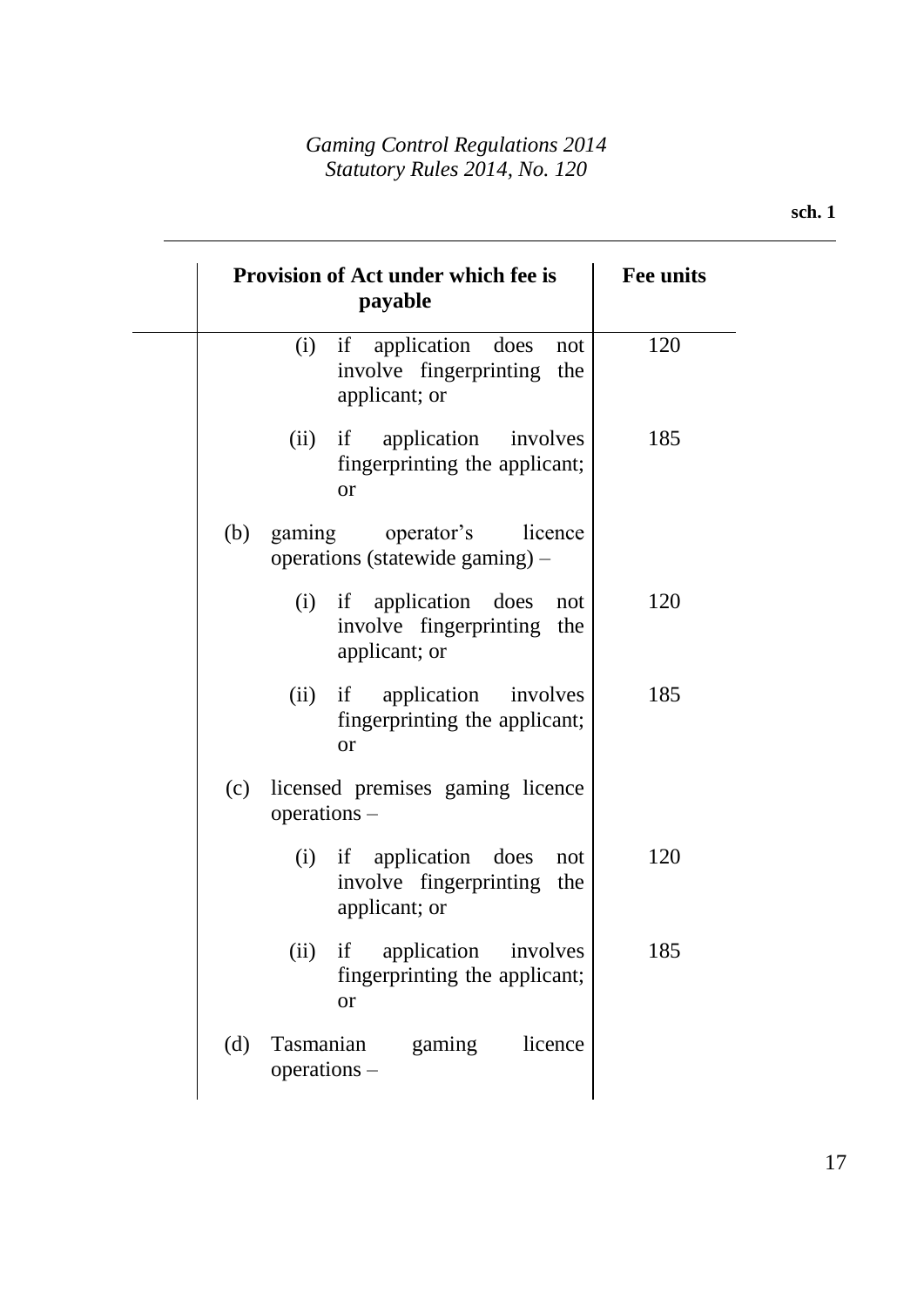|     | Provision of Act under which fee is<br>payable                                         | <b>Fee units</b> |
|-----|----------------------------------------------------------------------------------------|------------------|
|     | if application<br>(i)<br>does<br>not<br>involve fingerprinting<br>the<br>applicant; or | 120              |
|     | application involves<br>(ii)<br>if<br>fingerprinting the applicant;<br><b>or</b>       | 185              |
| (b) | gaming<br>operator's<br>licence<br>operations (statewide gaming) –                     |                  |
|     | (i) if application does<br>not<br>involve fingerprinting the<br>applicant; or          | 120              |
|     | application involves<br>(ii)<br>if<br>fingerprinting the applicant;<br><sub>or</sub>   | 185              |
| (c) | licensed premises gaming licence<br>$operations -$                                     |                  |
|     | if application does<br>(i)<br>not<br>involve fingerprinting the<br>applicant; or       | 120              |
|     | if application involves<br>(ii)<br>fingerprinting the applicant;<br><b>or</b>          | 185              |
| (d) | Tasmanian<br>gaming<br>licence<br>$operations -$                                       |                  |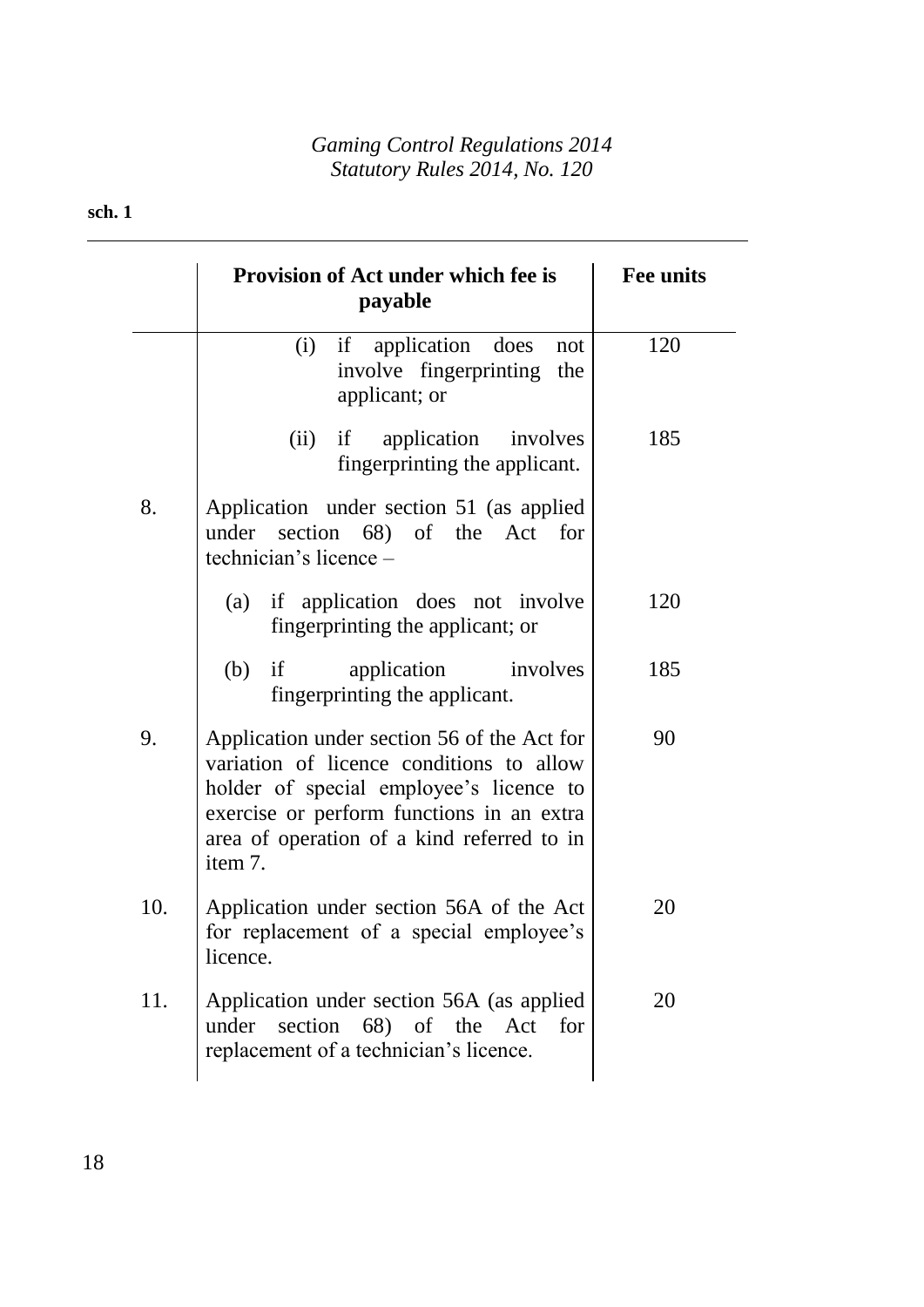## **sch. 1**

|     | <b>Provision of Act under which fee is</b><br>payable                                                                                                                                                                                    | <b>Fee units</b> |
|-----|------------------------------------------------------------------------------------------------------------------------------------------------------------------------------------------------------------------------------------------|------------------|
|     | if application does<br>(i)<br>not<br>involve fingerprinting the<br>applicant; or                                                                                                                                                         | 120              |
|     | (ii)<br>if application involves<br>fingerprinting the applicant.                                                                                                                                                                         | 185              |
| 8.  | Application under section 51 (as applied<br>under section 68) of the Act for<br>technician's licence -                                                                                                                                   |                  |
|     | (a) if application does not involve<br>fingerprinting the applicant; or                                                                                                                                                                  | 120              |
|     | (b)<br>if<br>application<br>involves<br>fingerprinting the applicant.                                                                                                                                                                    | 185              |
| 9.  | Application under section 56 of the Act for<br>variation of licence conditions to allow<br>holder of special employee's licence to<br>exercise or perform functions in an extra<br>area of operation of a kind referred to in<br>item 7. | 90               |
| 10. | Application under section 56A of the Act<br>for replacement of a special employee's<br>licence.                                                                                                                                          | 20               |
| 11. | Application under section 56A (as applied<br>under section 68) of the Act<br>for<br>replacement of a technician's licence.                                                                                                               | 20               |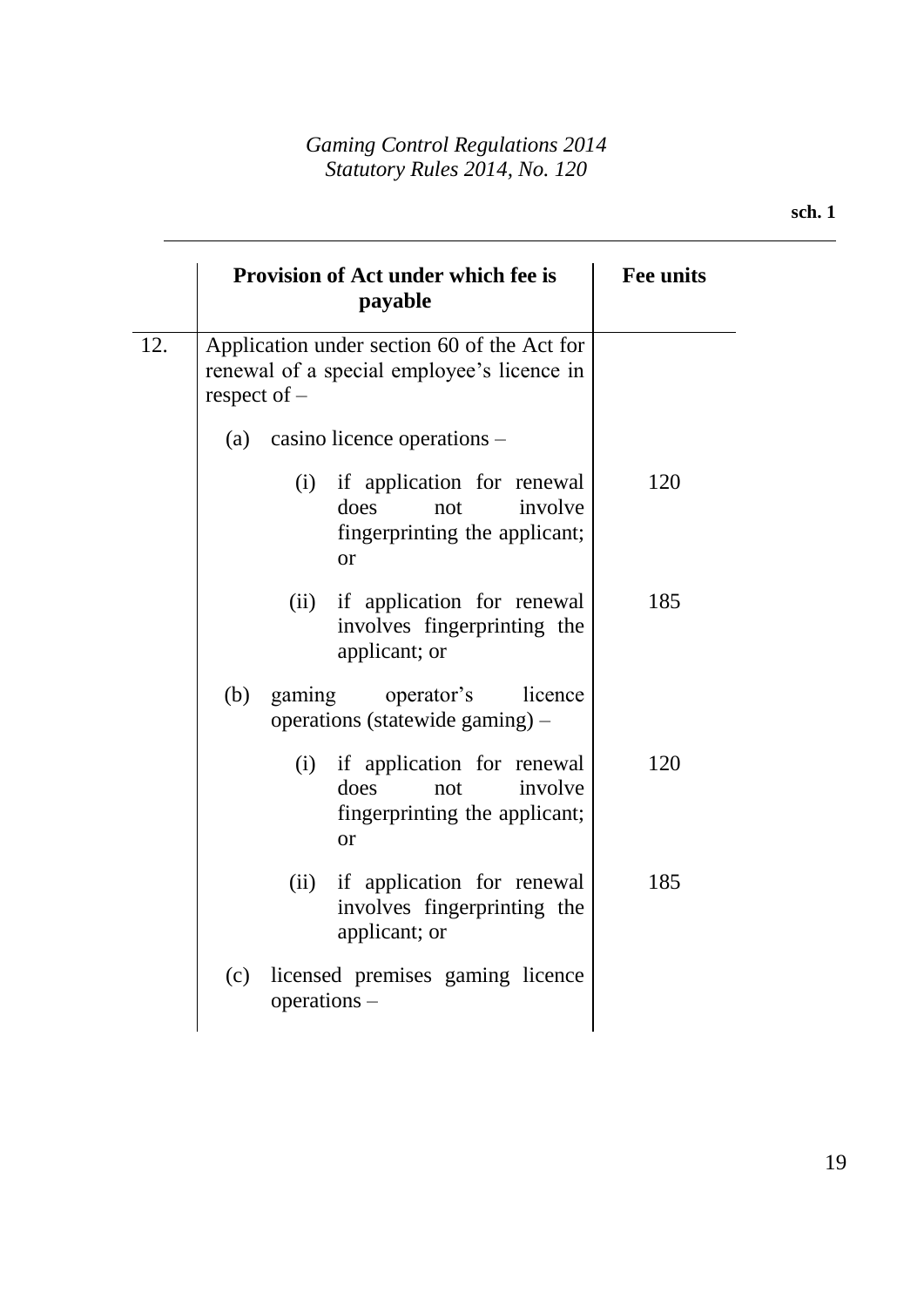|                       | <b>Provision of Act under which fee is</b><br>payable                                                     | <b>Fee units</b> |
|-----------------------|-----------------------------------------------------------------------------------------------------------|------------------|
| 12.<br>respect of $-$ | Application under section 60 of the Act for<br>renewal of a special employee's licence in                 |                  |
|                       | (a) casino licence operations $-$                                                                         |                  |
|                       | (i) if application for renewal<br>does<br>involve<br>not<br>fingerprinting the applicant;<br><b>or</b>    | 120              |
|                       | if application for renewal<br>(ii)<br>involves fingerprinting the<br>applicant; or                        | 185              |
| (b)                   | gaming<br>operator's<br>licence<br>operations (statewide gaming) –                                        |                  |
|                       | if application for renewal<br>(i)<br>involve<br>does<br>not<br>fingerprinting the applicant;<br><b>or</b> | 120              |
|                       | if application for renewal<br>(ii)<br>involves fingerprinting the<br>applicant; or                        | 185              |
| (c)                   | licensed premises gaming licence<br>operations -                                                          |                  |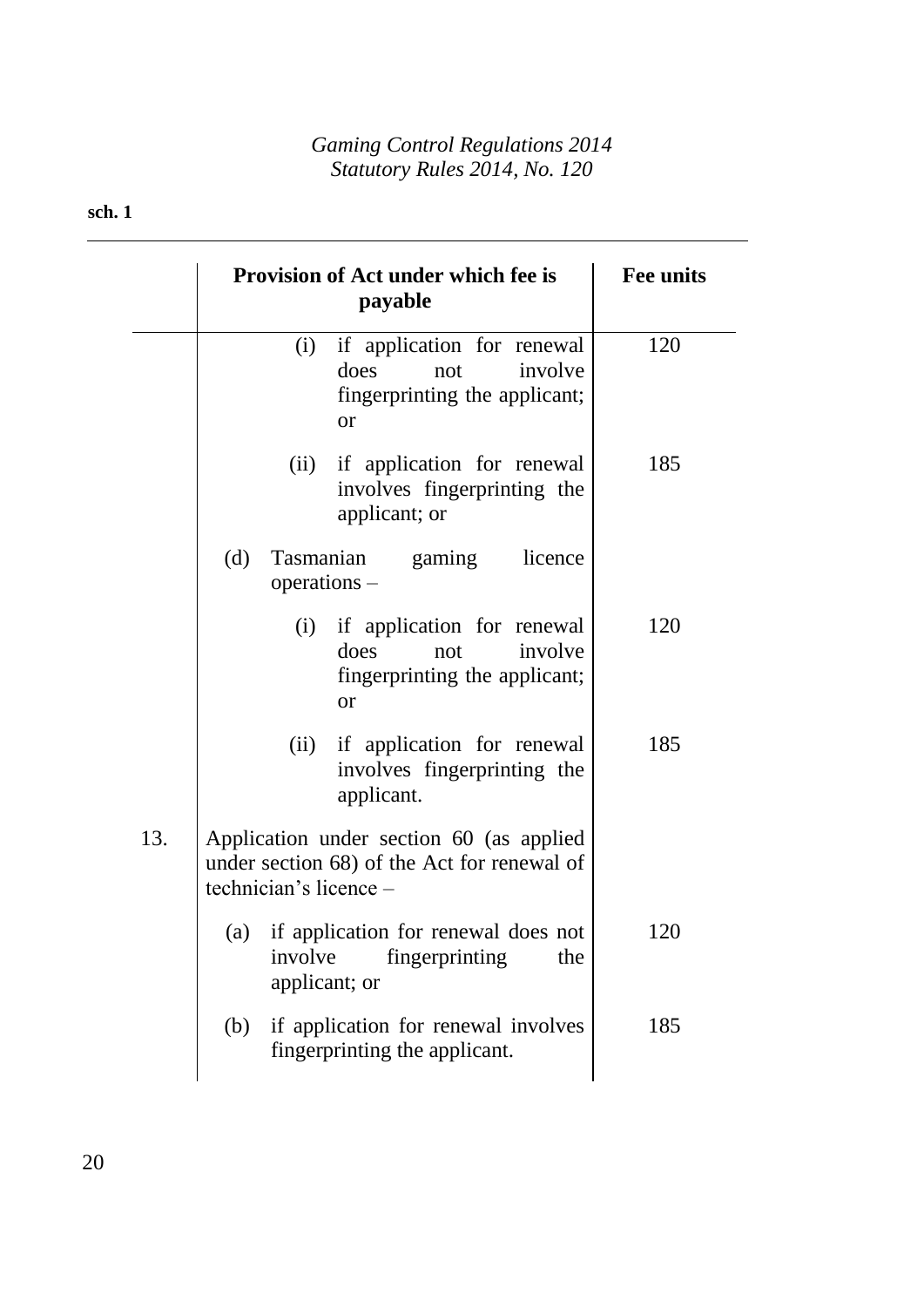## **sch. 1**

|     | <b>Provision of Act under which fee is</b><br>payable                                                             | <b>Fee units</b> |
|-----|-------------------------------------------------------------------------------------------------------------------|------------------|
|     | if application for renewal<br>(i)<br>does<br>involve<br>not<br>fingerprinting the applicant;<br><b>or</b>         | 120              |
|     | if application for renewal<br>(ii)<br>involves fingerprinting the<br>applicant; or                                | 185              |
|     | (d)<br><b>Tasmanian</b><br>gaming<br>licence<br>$operations -$                                                    |                  |
|     | if application for renewal<br>(i)<br>does<br>involve<br>not<br>fingerprinting the applicant;<br><b>or</b>         | 120              |
|     | if application for renewal<br>(ii)<br>involves fingerprinting the<br>applicant.                                   | 185              |
| 13. | Application under section 60 (as applied<br>under section 68) of the Act for renewal of<br>technician's licence - |                  |
|     | if application for renewal does not<br>(a)<br>fingerprinting<br>involve<br>the<br>applicant; or                   | 120              |
|     | if application for renewal involves<br>(b)<br>fingerprinting the applicant.                                       | 185              |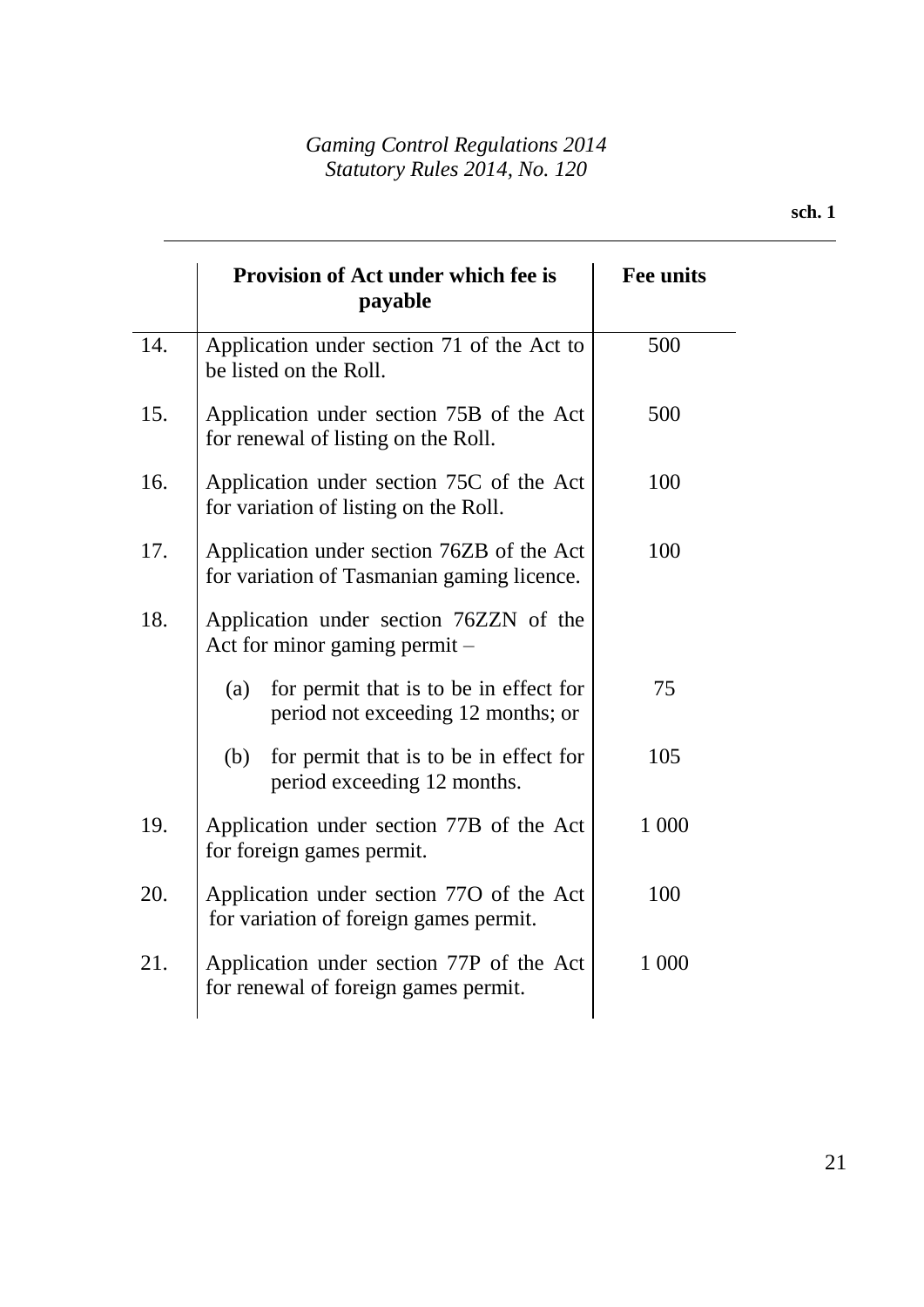|     | Provision of Act under which fee is<br>payable                                          | <b>Fee units</b> |
|-----|-----------------------------------------------------------------------------------------|------------------|
| 14. | Application under section 71 of the Act to<br>be listed on the Roll.                    | 500              |
| 15. | Application under section 75B of the Act<br>for renewal of listing on the Roll.         | 500              |
| 16. | Application under section 75C of the Act<br>for variation of listing on the Roll.       | 100              |
| 17. | Application under section 76ZB of the Act<br>for variation of Tasmanian gaming licence. | 100              |
| 18. | Application under section 76ZZN of the<br>Act for minor gaming permit $-$               |                  |
|     | for permit that is to be in effect for<br>(a)<br>period not exceeding 12 months; or     | 75               |
|     | for permit that is to be in effect for<br>(b)<br>period exceeding 12 months.            | 105              |
| 19. | Application under section 77B of the Act<br>for foreign games permit.                   | 1 000            |
| 20. | Application under section 770 of the Act<br>for variation of foreign games permit.      | 100              |
| 21. | Application under section 77P of the Act<br>for renewal of foreign games permit.        | 1 000            |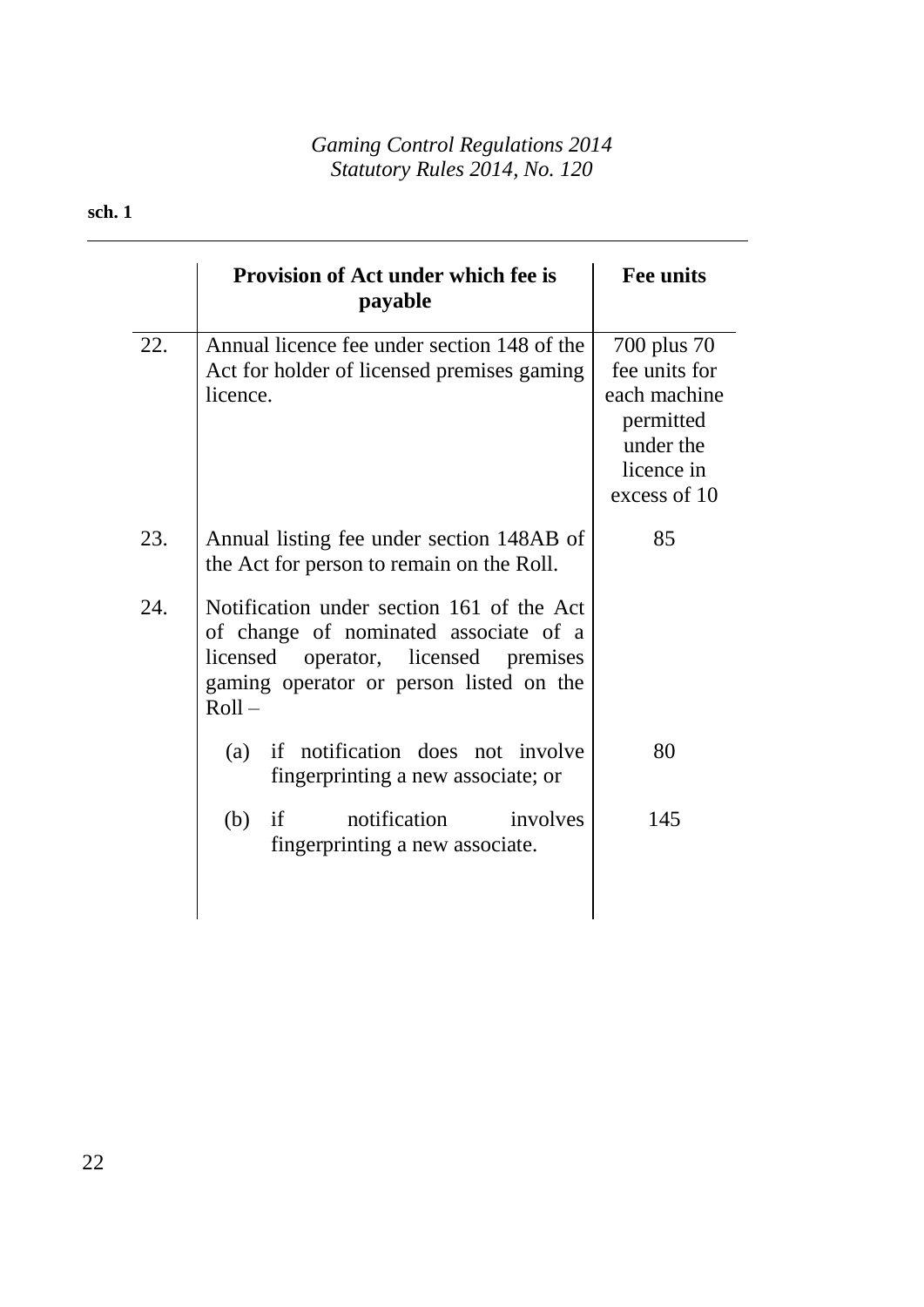# **sch. 1**

|     | <b>Provision of Act under which fee is</b><br>payable                                                                                                                                | <b>Fee units</b>                                                                                     |
|-----|--------------------------------------------------------------------------------------------------------------------------------------------------------------------------------------|------------------------------------------------------------------------------------------------------|
| 22. | Annual licence fee under section 148 of the<br>Act for holder of licensed premises gaming<br>licence.                                                                                | 700 plus 70<br>fee units for<br>each machine<br>permitted<br>under the<br>licence in<br>excess of 10 |
| 23. | Annual listing fee under section 148AB of<br>the Act for person to remain on the Roll.                                                                                               | 85                                                                                                   |
| 24. | Notification under section 161 of the Act<br>of change of nominated associate of a<br>licensed operator, licensed<br>premises<br>gaming operator or person listed on the<br>$Roll -$ |                                                                                                      |
|     | if notification does not involve<br>(a)<br>fingerprinting a new associate; or                                                                                                        | 80                                                                                                   |
|     | notification<br>involves<br>(b)<br>if<br>fingerprinting a new associate.                                                                                                             | 145                                                                                                  |